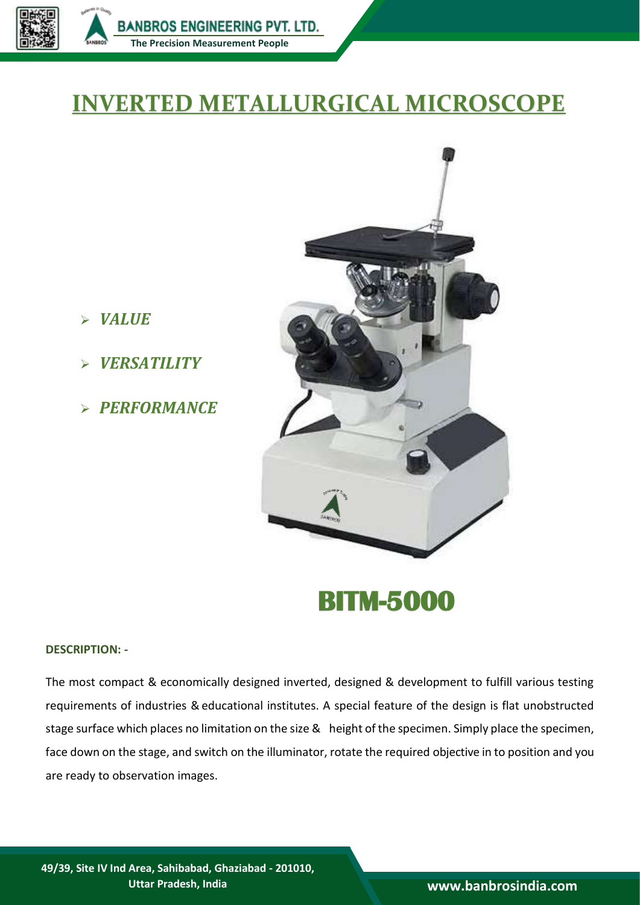

## **INVERTED METALLURGICAL MICROSCOPE**

- *VALUE*
- **BITM-5000** *VERSATILITY*
	- *PERFORMANCE*



**BITM-5000** 

## **DESCRIPTION: -**

The most compact & economically designed inverted, designed & development to fulfill various testing requirements of industries & educational institutes. A special feature of the design is flat unobstructed stage surface which places no limitation on the size & height of the specimen. Simply place the specimen, face down on the stage, and switch on the illuminator, rotate the required objective in to position and you are ready to observation images.